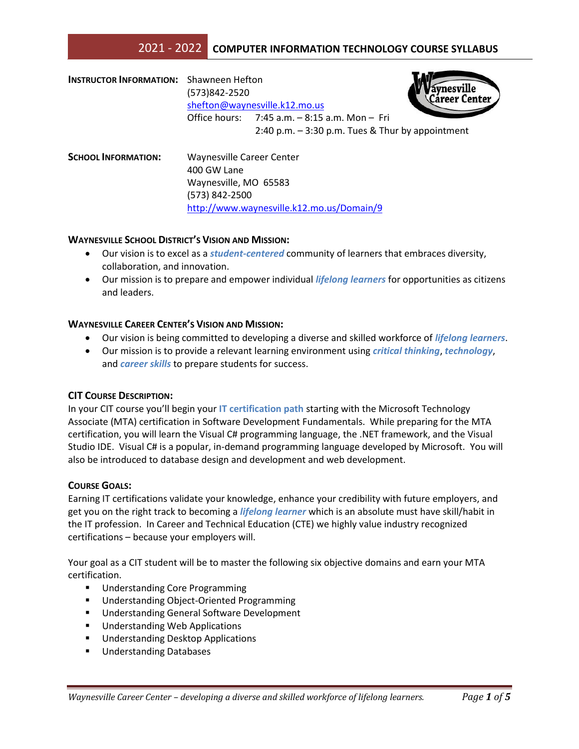# 2021 - 2022 **COMPUTER INFORMATION TECHNOLOGY COURSE SYLLABUS**

| <b>INSTRUCTOR INFORMATION:</b> Shawneen Hefton | (573)842-2520<br>shefton@waynesville.k12.mo.us |                                                                                                          | vnesville<br>Career Center |
|------------------------------------------------|------------------------------------------------|----------------------------------------------------------------------------------------------------------|----------------------------|
|                                                |                                                | Office hours: $7:45$ a.m. $-8:15$ a.m. Mon $-$ Fri<br>2:40 p.m. $-$ 3:30 p.m. Tues & Thur by appointment |                            |
| <b>SCHOOL INFORMATION:</b>                     | Waynesville Career Center<br>400 GW Lane       |                                                                                                          |                            |
|                                                | Waynesville, MO 65583<br>(573) 842-2500        |                                                                                                          |                            |

### **WAYNESVILLE SCHOOL DISTRICT'S VISION AND MISSION:**

 Our vision is to excel as a *student-centered* community of learners that embraces diversity, collaboration, and innovation.

<http://www.waynesville.k12.mo.us/Domain/9>

 Our mission is to prepare and empower individual *lifelong learners* for opportunities as citizens and leaders.

### **WAYNESVILLE CAREER CENTER'S VISION AND MISSION:**

- Our vision is being committed to developing a diverse and skilled workforce of *lifelong learners*.
- Our mission is to provide a relevant learning environment using *critical thinking*, *technology*, and *career skills* to prepare students for success.

# **CIT COURSE DESCRIPTION:**

In your CIT course you'll begin your **IT certification path** starting with the Microsoft Technology Associate (MTA) certification in Software Development Fundamentals. While preparing for the MTA certification, you will learn the Visual C# programming language, the .NET framework, and the Visual Studio IDE. Visual C# is a popular, in-demand programming language developed by Microsoft. You will also be introduced to database design and development and web development.

#### **COURSE GOALS:**

Earning IT certifications validate your knowledge, enhance your credibility with future employers, and get you on the right track to becoming a *lifelong learner* which is an absolute must have skill/habit in the IT profession. In Career and Technical Education (CTE) we highly value industry recognized certifications – because your employers will.

Your goal as a CIT student will be to master the following six objective domains and earn your MTA certification.

- **Understanding Core Programming**
- **■** Understanding Object-Oriented Programming
- Understanding General Software Development
- **Understanding Web Applications**
- **Understanding Desktop Applications**
- **Understanding Databases**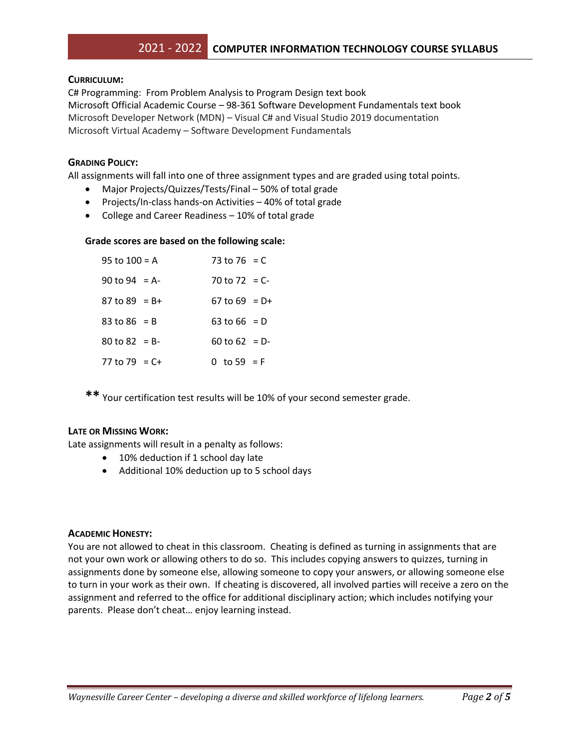# **CURRICULUM:**

C# Programming: From Problem Analysis to Program Design text book Microsoft Official Academic Course – 98-361 Software Development Fundamentals text book Microsoft Developer Network (MDN) – Visual C# and Visual Studio 2019 documentation Microsoft Virtual Academy – Software Development Fundamentals

# **GRADING POLICY:**

All assignments will fall into one of three assignment types and are graded using total points.

- Major Projects/Quizzes/Tests/Final 50% of total grade
- Projects/In-class hands-on Activities 40% of total grade
- College and Career Readiness 10% of total grade

# **Grade scores are based on the following scale:**

| 95 to 100 = A      | 73 to 76 = C    |  |
|--------------------|-----------------|--|
| 90 to 94 = A-      | 70 to 72 = $C-$ |  |
| 87 to 89 = B+      | 67 to 69 = $D+$ |  |
| 83 to 86 = B       | 63 to 66 = D    |  |
| $80$ to $82 = B -$ | 60 to 62 = D-   |  |
| 77 to 79 = C+      | 0 to 59 = F     |  |

**\*\*** Your certification test results will be 10% of your second semester grade.

# **LATE OR MISSING WORK:**

Late assignments will result in a penalty as follows:

- 10% deduction if 1 school day late
- Additional 10% deduction up to 5 school days

# **ACADEMIC HONESTY:**

You are not allowed to cheat in this classroom. Cheating is defined as turning in assignments that are not your own work or allowing others to do so. This includes copying answers to quizzes, turning in assignments done by someone else, allowing someone to copy your answers, or allowing someone else to turn in your work as their own. If cheating is discovered, all involved parties will receive a zero on the assignment and referred to the office for additional disciplinary action; which includes notifying your parents. Please don't cheat… enjoy learning instead.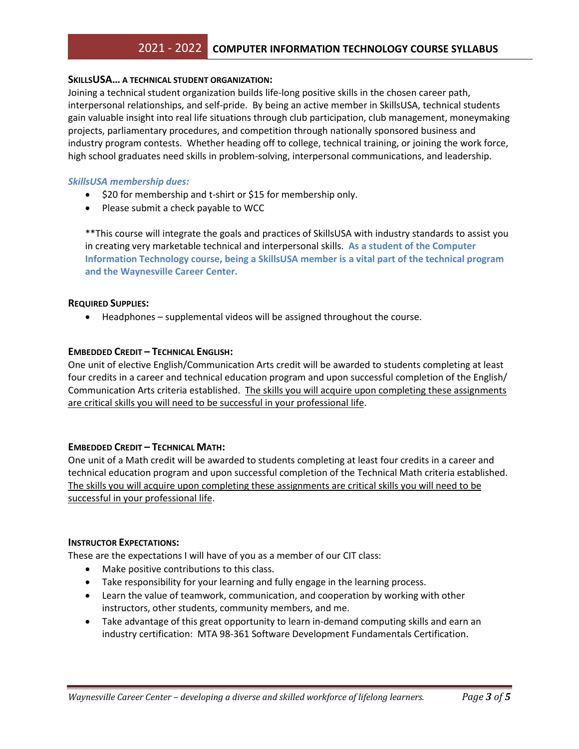# **SKILLSUSA… A TECHNICAL STUDENT ORGANIZATION:**

Joining a technical student organization builds life-long positive skills in the chosen career path, interpersonal relationships, and self-pride. By being an active member in SkillsUSA, technical students gain valuable insight into real life situations through club participation, club management, moneymaking projects, parliamentary procedures, and competition through nationally sponsored business and industry program contests. Whether heading off to college, technical training, or joining the work force, high school graduates need skills in problem-solving, interpersonal communications, and leadership.

# *SkillsUSA membership dues:*

- $\bullet$  \$20 for membership and t-shirt or \$15 for membership only.
- Please submit a check payable to WCC

\*\*This course will integrate the goals and practices of SkillsUSA with industry standards to assist you in creating very marketable technical and interpersonal skills. **As a student of the Computer Information Technology course, being a SkillsUSA member is a vital part of the technical program and the Waynesville Career Center.**

# **REQUIRED SUPPLIES:**

Headphones – supplemental videos will be assigned throughout the course.

# **EMBEDDED CREDIT – TECHNICAL ENGLISH:**

One unit of elective English/Communication Arts credit will be awarded to students completing at least four credits in a career and technical education program and upon successful completion of the English/ Communication Arts criteria established. The skills you will acquire upon completing these assignments are critical skills you will need to be successful in your professional life.

# **EMBEDDED CREDIT – TECHNICAL MATH:**

One unit of a Math credit will be awarded to students completing at least four credits in a career and technical education program and upon successful completion of the Technical Math criteria established. The skills you will acquire upon completing these assignments are critical skills you will need to be successful in your professional life.

# **INSTRUCTOR EXPECTATIONS:**

These are the expectations I will have of you as a member of our CIT class:

- Make positive contributions to this class.
- Take responsibility for your learning and fully engage in the learning process.
- Learn the value of teamwork, communication, and cooperation by working with other instructors, other students, community members, and me.
- Take advantage of this great opportunity to learn in-demand computing skills and earn an industry certification: MTA 98-361 Software Development Fundamentals Certification.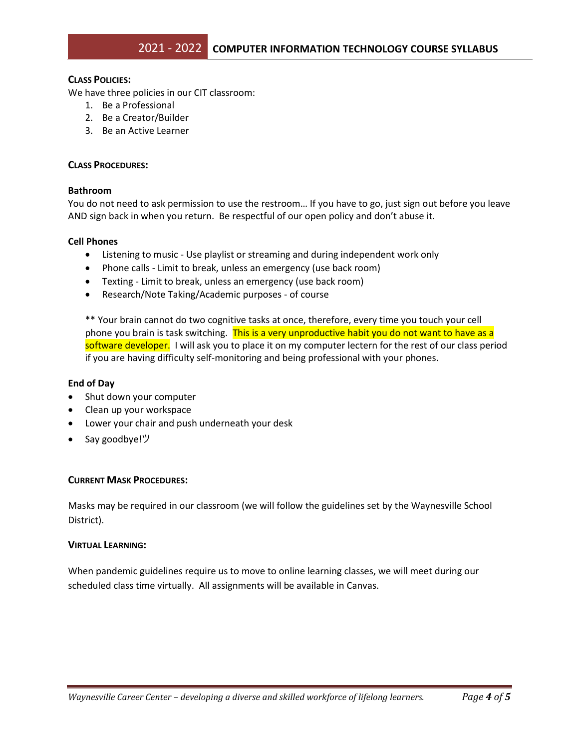# **CLASS POLICIES:**

We have three policies in our CIT classroom:

- 1. Be a Professional
- 2. Be a Creator/Builder
- 3. Be an Active Learner

# **CLASS PROCEDURES:**

### **Bathroom**

You do not need to ask permission to use the restroom… If you have to go, just sign out before you leave AND sign back in when you return. Be respectful of our open policy and don't abuse it.

### **Cell Phones**

- Listening to music Use playlist or streaming and during independent work only
- Phone calls Limit to break, unless an emergency (use back room)
- Texting Limit to break, unless an emergency (use back room)
- Research/Note Taking/Academic purposes of course

\*\* Your brain cannot do two cognitive tasks at once, therefore, every time you touch your cell phone you brain is task switching. This is a very unproductive habit you do not want to have as a software developer. I will ask you to place it on my computer lectern for the rest of our class period if you are having difficulty self-monitoring and being professional with your phones.

#### **End of Day**

- Shut down your computer
- Clean up your workspace
- Lower your chair and push underneath your desk
- Say goodbye!ツ

# **CURRENT MASK PROCEDURES:**

Masks may be required in our classroom (we will follow the guidelines set by the Waynesville School District).

#### **VIRTUAL LEARNING:**

When pandemic guidelines require us to move to online learning classes, we will meet during our scheduled class time virtually. All assignments will be available in Canvas.